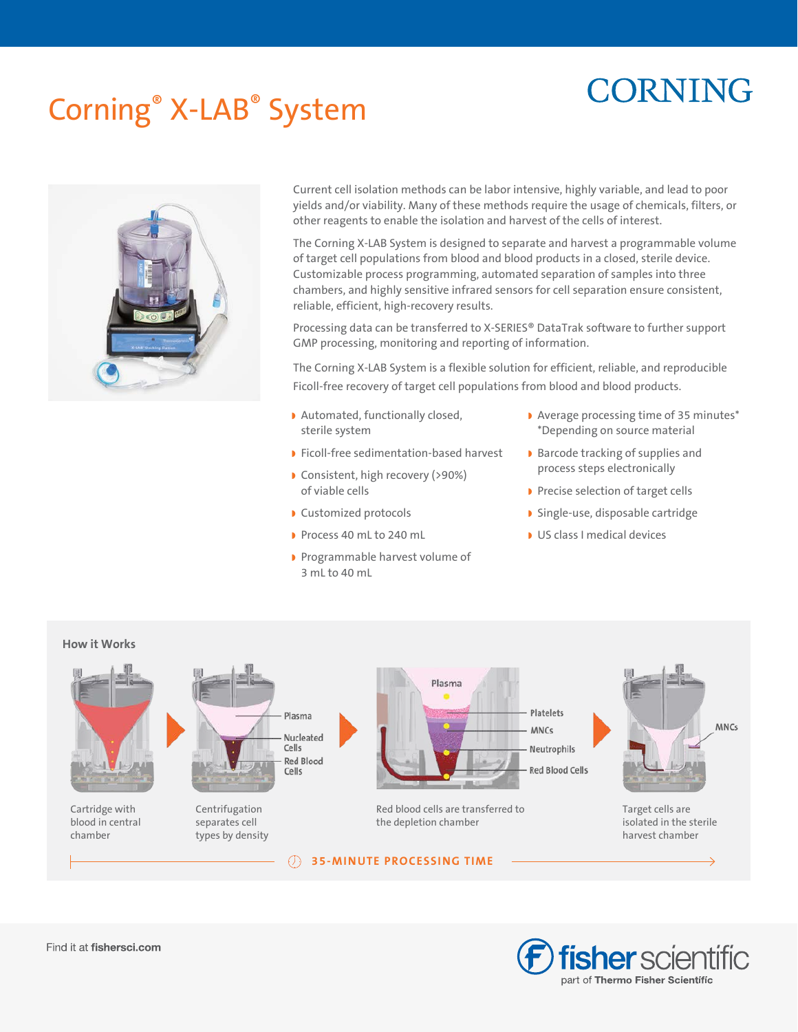# **CORNING**

# Corning® X-LAB® System



Current cell isolation methods can be labor intensive, highly variable, and lead to poor yields and/or viability. Many of these methods require the usage of chemicals, filters, or other reagents to enable the isolation and harvest of the cells of interest.

The Corning X-LAB System is designed to separate and harvest a programmable volume of target cell populations from blood and blood products in a closed, sterile device. Customizable process programming, automated separation of samples into three chambers, and highly sensitive infrared sensors for cell separation ensure consistent, reliable, efficient, high-recovery results.

Processing data can be transferred to X-SERIES® DataTrak software to further support GMP processing, monitoring and reporting of information.

The Corning X-LAB System is a flexible solution for efficient, reliable, and reproducible Ficoll-free recovery of target cell populations from blood and blood products.

- ◗ Automated, functionally closed, sterile system
- ◗ Ficoll-free sedimentation-based harvest
- ◗ Consistent, high recovery (>90%) of viable cells
- ◗ Customized protocols
- ◗ Process 40 mL to 240 mL
- ◗ Programmable harvest volume of  $3$  mL to  $40$  mL
- ◗ Average processing time of 35 minutes\* \*Depending on source material
- ◗ Barcode tracking of supplies and process steps electronically
- ◗ Precise selection of target cells
- ◗ Single-use, disposable cartridge
- ◗ US class I medical devices

## **How it Works**



Cartridge with blood in central chamber



Centrifugation separates cell types by density



Red blood cells are transferred to the depletion chamber

**35-MINUTE PROCESSING TIME**

**MNCs** 

Target cells are isolated in the sterile harvest chamber